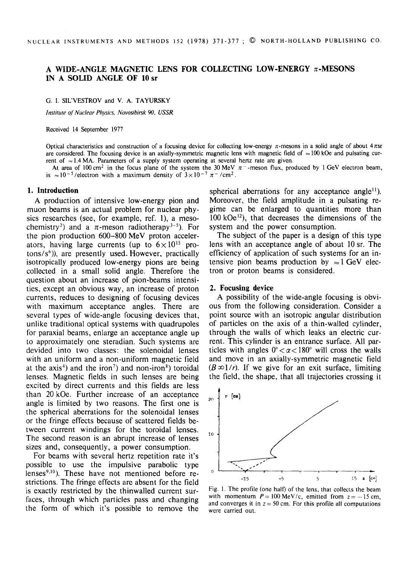# A WIDE-ANGLE MAGNETIC LENS FOR COLLECTING LOW-ENERGY  $\pi$ -MESONS IN A SOLID **ANGLE OF** 10 sr

G. I. SIL'VESTROV and V. A. TAYURSKY

*Institute of Nuclear Physics, Novosibirsk 90, USSR* 

Received 14 September 1977

Optical characteristics and construction of a focusing device for collecting low-energy  $\pi$ -mesons in a solid angle of about  $4\pi$ sr are considered. The focusing device is an axially-symmetric magnetic lens with magnetic field of  $\approx 100$  kOe and pulsating current of  $\approx$  1.4 MA. Parameters of a supply system operating at several hertz rate are given.

At area of 100 cm<sup>2</sup> in the focus plane of the system the 30 MeV  $\pi$ -meson flux, produced by 1 GeV electron beam, is  $\approx 10^{-5}$ /electron with a maximum density of  $3 \times 10^{-7}$   $\pi^{-}$ /cm<sup>2</sup>.

#### **1. Introduction**

A production of intensive low-energy pion and muon beams is an actual problem for nuclear physics researches (see, for example, ref. 1), a mesochemistry<sup>2</sup>) and a  $\pi$ -meson radiotherapy<sup>3-5</sup>). For the pion production 600-800 MeV proton accelerators, having large currents (up to  $6 \times 10^{15}$  pro $tons/s<sup>6</sup>)$ ), are presently used. However, practically isotropically produced low-energy pions are being collected in a small solid angle. Therefore the question about an increase of pion-beams intensities, except an obvious way, an increase of proton currents, reduces to designing of focusing devices with maximum acceptance angles. There are several types of wide-angle focusing devices that, unlike traditional optical systems with quadrupoles for paraxial beams, enlarge an acceptance angle up to approximately one steradian. Such systems are devided into two classes: the solenoidal lenses with an uniform and a non-uniform magnetic field at the axis<sup>4</sup>) and the iron<sup>7</sup>) and non-iron<sup>8</sup>) toroidal lenses. Magnetic fields in such lenses are being excited by direct currents and this fields are less than 20 kOe. Further increase of an acceptance angle is limited by two reasons. The first one is the spherical aberrations for the solenoidal lenses or the fringe effects because of scattered fields between current windings for the toroidal lenses. The second reason is an abrupt increase of lenses sizes and, consequently, a power consumption.

For beams with several hertz repetition rate it's possible to use the impulsive parabolic type lenses $9,10$ ). These have not mentioned before restrictions. The fringe effects are absent for the field is exactly restricted by the thinwalled current surfaces, through which particles pass and changing the form of which it's possible to remove the spherical aberrations for any acceptance angle<sup> $11$ </sup>). Moreover, the field amplitude in a pulsating regime can be enlarged to quantities more than  $100$  kOe<sup>12</sup>), that decreases the dimensions of the system and the power consumption.

The subject of the paper is a design of this type lens with an acceptance angle of about 10 sr. The efficiency of application of such systems for an intensive pion beams production by  $\approx 1$  GeV electron or proton beams is considered.

### **2. Focusing device**

A possibility of the wide-angle focusing is obvious from the following consideration. Consider a point source with an isotropic angular distribution of particles on the axis of a thin-walled cylinder, through the walls of which leaks an electric current. This cylinder is an entrance surface. All particles with angles  $0^{\circ} < \alpha < 180^{\circ}$  will cross the walls and move in an axially-symmetric magnetic field  $(B \infty 1/r)$ . If we give for an exit surface, limiting the field, the shape, that all trajectories crossing it



Fig. 1. The profile (one half) of the lens, that collects the beam with momentum  $P = 100$  MeV/c, emitted from  $z = -15$  cm, and converges it in  $z = 50$  cm. For this profile all computations were carried out.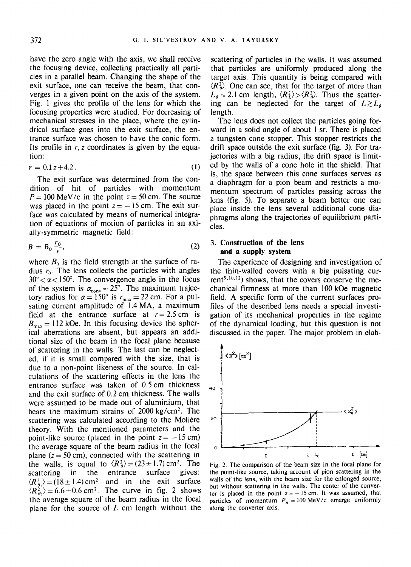have the zero angle with the axis, we shall receive the focusing device, collecting practically all particles in a parallel beam. Changing the shape of the exit surface, one can receive the beam, that converges in a given point on the axis of the system. Fig. 1 gives the profile of the lens for which the focusing properties were studied. For decreasing of mechanical stresses in the place, where the cylindrical surface goes into the exit surface, the entrance surface was chosen to have the conic form. Its profile in  $r, z$  coordinates is given by the equation:

$$
r = 0.1 z + 4.2. \tag{1}
$$

The exit surface was determined from the condition of hit of particles with momentum  $P = 100$  MeV/c in the point  $z = 50$  cm. The source was placed in the point  $z = -15$  cm. The exit surface was calculated by means of numerical integration of equations of motion of particles in an axially-symmetric magnetic field:

$$
B = B_0 \frac{r_0}{r},\tag{2}
$$

where  $B_0$  is the field strength at the surface of radius  $r_0$ . The lens collects the particles with angles  $30^{\circ} < \alpha < 150^{\circ}$ . The convergence angle in the focus of the system is  $\alpha_{\rm conv} \approx 25^{\circ}$ . The maximum trajectory radius for  $\alpha = 150^{\circ}$  is  $r_{\text{max}} = 22$  cm. For a pulsating current amplitude of 1.4 MA, a maximum field at the entrance surface at  $r = 2.5$  cm is  $B_{\text{max}} = 112$  kOe. In this focusing device the spherical aberrations are absent, but appears an additional size of the beam in the focal plane because of scattering in the walls. The last can be neglected, if it is small compared with the size, that is due to a non-point likeness of the source. In calculations of the scattering effects in the lens the entrance surface was taken of 0.5 cm thickness and the exit surface of 0.2 cm thickness. The walls were assumed to be made out of aluminium, that bears the maximum strains of  $2000 \text{ kg/cm}^2$ . The scattering was calculated according to the Molière theory. With the mentioned parameters and the point-like source (placed in the point  $z = -15$  cm) the average square of the beam radius in the focal plane  $(z = 50 \text{ cm})$ , connected with the scattering in the walls, is equal to  $\langle R_{\theta}^2 \rangle = (23 \pm 1.7) \text{ cm}^2$ . The scattering in the entrance surface gives:  $\langle R_a^2 \rangle = (18 \pm 1.4) \text{ cm}^2$  and in the exit surface  $\langle R_{\theta}^2 \rangle = 6.6 \pm 0.6$  cm<sup>2</sup>. The curve in fig. 2 shows the average square of the beam radius in the focal plane for the source of  $L$  cm length without the

scattering of particles in the walls. It was assumed that particles are uniformly produced along the target axis. This quantity is being compared with  $\langle R_{\theta}^2 \rangle$ . One can see, that for the target of more than  $L_{\theta} \approx 2.1$  cm length,  $\langle R_L^2 \rangle > \langle R_{\theta}^2 \rangle$ . Thus the scattering can be neglected for the target of  $L \gtrsim L_a$ length.

The lens does not collect the particles going forward in a solid angle of about 1 sr. There is placed a tungsten cone stopper. This stopper restricts the drift space outside the exit surface (fig. 3). For trajectories with a big radius, the drift space is limited by the walls of a cone hole in the shield. That is, the space between this cone surfaces serves as a diaphragm for a pion beam and restricts a momentum spectrum of particles passing across the lens (fig. 5). To separate a beam better one can place inside the lens several additional cone diaphragms along the trajectories of equilibrium particles.

## **3. Construction of the lens and a supply system**

The experience of designing and investigation of the thin-walled covers with a big pulsating current<sup>9,10,12</sup>) shows, that the covers conserve the mechanical firmness at more than 100 kOe magnetic field. A specific form of the current surfaces profiles of the described lens needs a special investigation of its mechanical properties in the regime of the dynamical loading, but this question is not discussed in the paper. The major problem in elab-



Fig. 2. The comparison of the beam size in the focal plane for the point-like source, taking account of pion scattering in the walls of the lens, with the beam size for the enlonged source, but without scattering in the walls. The center of the converter is placed in the point  $z=-15$  cm. It was assumed, that particles of momentum  $P_{\pi} = 100 \text{ MeV/c}$  emerge uniformly along the converter axis.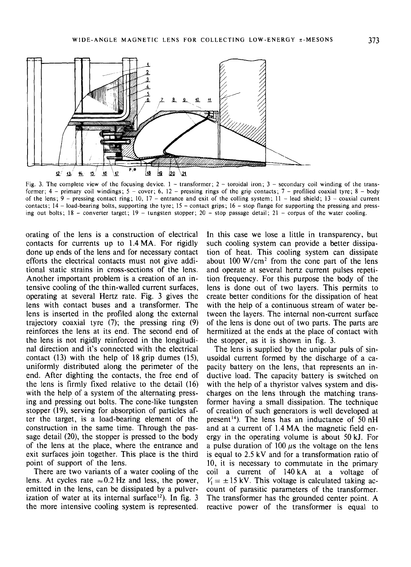

Fig. 3. The complete view of the focusing device.  $1 -$  transformer;  $2 -$  toroidal iron;  $3 -$  secondary coil winding of the transformer;  $4$  – primary coil windings;  $5$  – cover; 6, 12 – pressing rings of the grip contacts;  $7$  – profilied coaxial tyre;  $8$  – body of the lens;  $9$  – pressing contact ring; 10, 17 – entrance and exit of the colling system; 11 – lead shield; 13 – coaxial current contacts;  $14$  - load-bearing bolts, supporting the tyre;  $15$  - contact grips;  $16$  - stop flange for supporting the pressing and pressing out bolts;  $18$  - converter target;  $19$  - tungsten stopper;  $20$  - stop passage detail;  $21$  - corpus of the water cooling.

orating of the lens is a construction of electrical contacts for currents up to 1.4 MA. For rigidly done up ends of the lens and for necessary contact efforts the electrical contacts must not give additional static strains in cross-sections of the lens. Another important problem is a creation of an intensive cooling of the thin-walled current surfaces, operating at several Hertz rate. Fig. 3 gives the lens with contact buses and a transformer. The lens is inserted in the profiled along the external trajectory coaxial tyre (7); the pressing ring (9) reinforces the lens at its end. The second end of the lens is not rigidly reinforced in the longitudinal direction and it's connected with the electrical contact (13) with the help of 18 grip dumes (15), uniformly distributed along the perimeter of the end. After dighting the contacts, the free end of the lens is firmly fixed relative to the detail (16) with the help of a system of the alternating pressing and pressing out bolts. The cone-like tungsten stopper (19), serving for absorption of particles after the target, is a load-bearing element of the construction in the same time. Through the passage detail (20), the stopper is pressed to the body of the lens at the place, where the entrance and exit surfaces join together. This place is the third point of support of the lens.

There are two variants of a water cooling of the lens. At cycles rate  $\approx 0.2$  Hz and less, the power, emitted in the lens, can be dissipated by a pulverization of water at its internal surface<sup>12</sup>). In fig. 3 the more intensive cooling system is represented.

In this case we lose a little in transparency, but such cooling system can provide a better dissipation of heat. This cooling system can dissipate about  $100 \text{ W/cm}^2$  from the cone part of the lens and operate at several hertz current pulses repetition frequency. For this purpose the body of the lens is done out of two layers. This permits to create better conditions for the dissipation of heat with the help of a continuous stream of water between the layers. The internal non-current surface of the lens is done out of two parts. The parts are hermitized at the ends at the place of contact with the stopper, as it is shown in fig. 3.

The lens is supplied by the unipolar puls of sinusoidal current formed by the discharge of a capacity battery on the lens, that represents an inductive load. The capacity battery is switched on with the help of a thyristor valves system and discharges on the lens through the matching transformer having a small dissipation. The technique of creation of such generators is well developed at present<sup>14</sup>). The lens has an inductance of  $50$  nH and at a current of 1.4 MA the magnetic field energy in the operating volume is about 50 kJ. For a pulse duration of 100  $\mu$ s the voltage on the lens is equal to 2.5 kV and for a transformation ratio of 10, it is necessary to commutate in the primary coil a current of 140kA at a voltage of  $V_1 = \pm 15$  kV. This voltage is calculated taking account of parasitic parameters of the transformer. The transformer has the grounded center point. A reactive power of the transformer is equal to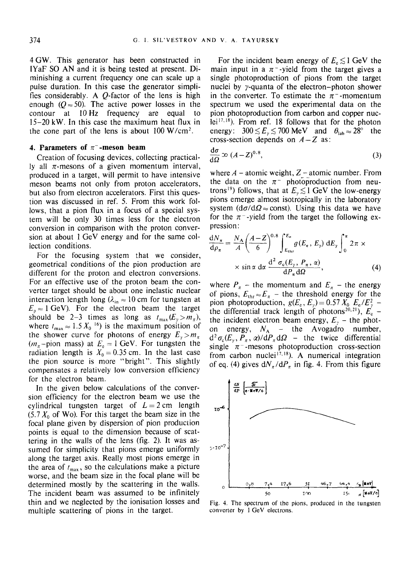4 GW. This generator has been constructed in IYaF SO AN and it is being tested at present. Diminishing a current frequency one can scale up a pulse duration. In this case the generator simplifies considerably. A Q-factor of the lens is high enough ( $Q \approx 50$ ). The active power losses in the contour at 10Hz frequency are equal to 15-20 kW. In this case the maximum heat flux in the cone part of the lens is about  $100 \text{ W/cm}^2$ .

## **4. Parameters of**  $\pi$ **-meson beam**

Creation of focusing devices, collecting practically all  $\pi$ -mesons of a given momentum interval, produced in a target, will permit to have intensive meson beams not only from proton accelerators, but also from electron accelerators. First this question was discussed in ref. 5. From this work follows, that a pion flux in a focus of a special system will be only 30 times less for the electron conversion in comparison with the proton conversion at about 1 GeV energy and for the same collection conditions.

For the focusing system that we consider, geometrical conditions of the pion production are different for the proton and electron conversions. For an effective use of the proton beam the converter target should be about one inelastic nuclear interaction length long ( $\lambda_{in} \approx 10$  cm for tungsten at  $E_p \approx 1$  GeV). For the electron beam the target should be 2-3 times as long as  $t_{\text{max}}(E_y > m_\pi)$ , where  $t_{\rm max} \approx 1.5 X_0^{-16}$  is the maximum position of the shower curve for photons of energy  $E_y > m_\pi$  $(m_{\pi}-\text{pion mass})$  at  $E_e = 1$  GeV. For tungsten the radiation length is  $X_0 = 0.35$  cm. In the last case the pion source is more "bright". This slightly compensates a relatively low conversion efficiency for the electron beam.

In the given below calculations of the conversion efficiency for the electron beam we use the cylindrical tungsten target of  $L=2$  cm length  $(5.7 X_0$  of Wo). For this target the beam size in the focal plane given by dispersion of pion production points is equal to the dimension because of scattering in the walls of the lens (fig. 2). It was assumed for simplicity that pions emerge uniformly along the target axis. Really most pions emerge in the area of  $t_{\text{max}}$ , so the calculations make a picture worse, and the beam size in the focal plane will be determined mostly by the scattering in the walls. The incident beam was assumed to be infinitely thin and we neglected by the ionisation losses and multiple scattering of pions in the target.

For the incident beam energy of  $E_e \lesssim 1$  GeV the main input in a  $\pi$ -yield from the target gives a single photoproduction of pions from the target nuclei by y-quanta of the electron-photon shower in the converter. To estimate the  $\pi$ <sup>-</sup>-momentum spectrum we used the experimental data on the pion photoproduction from carbon and copper nuclei17,18). From ref. 18 follows that for the photon energy:  $300 \le E_y \le 700 \text{ MeV}$  and  $\theta_{\text{lab}} \approx 28^\circ$  the cross-section depends on A-Z **as:** 

$$
\frac{\mathrm{d}\sigma}{\mathrm{d}\Omega} \infty \ (A - Z)^{0.8},\tag{3}
$$

where  $A$  – atomic weight,  $Z$  – atomic number. From the data on the  $\pi^-$  photoproduction from neutrons<sup>19</sup>) follows, that at  $E_{y} \lesssim 1$  GeV the low-energy pions emerge almost isotropically in the laboratory system ( $d\sigma/d\Omega \approx$  const). Using this data we have for the  $\pi$ -yield from the target the following expression:

$$
\frac{dN_{\pi}}{d\rho_{\pi}} = \frac{N_{A}}{A} \left(\frac{A-Z}{6}\right)^{0.8} \int_{E_{\text{thr}}}^{E_{\text{e}}} g(E_{\text{e}}, E_{\gamma}) \, \mathrm{d}E_{\gamma} \int_{0}^{\pi} 2\pi \times \times \sin \alpha \, \mathrm{d}\alpha \, \frac{\mathrm{d}^{2} \, \sigma_{\text{e}}(E_{\gamma}, P_{\pi}, \alpha)}{\mathrm{d}P_{\pi} \mathrm{d}\Omega}, \tag{4}
$$

where  $P_{\pi}$  – the momentum and  $E_{\pi}$  – the energy of pions,  $E_{\text{thr}} \approx E_{\pi}$  - the threshold energy for the pion photoproduction,  $g(E_e, E_y) = 0.57 X_0 \cdot E_e / E_y^2$  the differential track length of photons<sup>20,21</sup>),  $E_e'$  the incident electron beam energy,  $E_y$  – the photon energy,  $N_A$  – the Avogadro number,  $d^2\sigma_c(E_y, P_\pi, \alpha)/dP_\pi d\Omega$  – the twice differential single  $\pi$ <sup>-</sup>-mesons photoproduction cross-section from carbon nuclei<sup>17,18</sup>). A numerical integration of eq. (4) gives  $dN_{\pi}/dP_{\pi}$  in fig. 4. From this figure



Fig. 4. The spectrum of the pions, produced in the tungsten converter by 1 GeV electrons.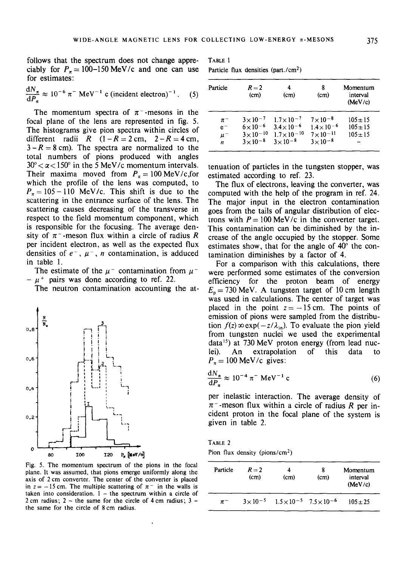follows that the spectrum does not change appreciably for  $P<sub>\pi</sub> = 100-150$  MeV/c and one can use for estimates:

$$
\frac{dN_{\pi}}{dP_{\pi}} \approx 10^{-6} \pi^{-} \text{ MeV}^{-1} \text{ c (incident electron)}^{-1}. \quad (5)
$$

The momentum spectra of  $\pi$ <sup>-</sup>-mesons in the focal plane of the lens are represented in fig. 5. The histograms give pion spectra within circles of different radii R  $(1-R=2 \text{ cm}, 2-R=4 \text{ cm},$  $3-R = 8$  cm). The spectra are normalized to the total numbers of pions produced with angles  $30^{\circ} < \alpha < 150^{\circ}$  in the 5 MeV/c momentum intervals. Their maxima moved from  $P_\pi = 100 \text{ MeV/c, for}$ which the profile of the lens was computed, to  $P_{\pi} = 105 - 110$  MeV/c. This shift is due to the scattering in the entrance surface of the lens. The scattering causes decreasing of the transverse in respect to the field momentum component, which is responsible for the focusing. The average density of  $\pi$ <sup>-</sup>-meson flux within a circle of radius R per incident electron, as well as the expected flux densities of  $e^-$ ,  $\mu^-$ , *n* contamination, is adduced in table 1.

The estimate of the  $\mu^-$  contamination from  $\mu^ -\mu$ <sup>+</sup> pairs was done according to ref. 22.

The neutron contamination accounting the at-



Fig. 5• The momentum spectrum of the pions in the focal plane. It was assumed, that pions emerge uniformly along the axis of 2 cm converter. The center of the converter is placed in  $z = -15$  cm. The multiple scattering of  $\pi^-$  in the walls is taken into consideration.  $1 -$  the spectrum within a circle of 2 cm radius;  $2 -$  the same for the circle of 4 cm radius;  $3$ the same for the circle of 8 cm radius.

TABLE 1

Particle flux densities (part./cm<sup>2</sup>)

| Particle | $R=2$<br>(cm)       | (cm)                  | 8<br>(cm)            | Momentum<br>interval<br>(MeV/c) |
|----------|---------------------|-----------------------|----------------------|---------------------------------|
| $\pi^-$  | $3 \times 10^{-7}$  | $1.7 \times 10^{-7}$  | $7 \times 10^{-8}$   | $105 \pm 15$                    |
| $e^-$    | $6 \times 10^{-6}$  | $3.4\times10^{-6}$    | $1.4 \times 10^{-6}$ | $105 \pm 15$                    |
| $\mu^-$  | $3 \times 10^{-10}$ | $1.7 \times 10^{-10}$ | $7 \times 10^{-11}$  | $105 \pm 15$                    |
| n        | $3 \times 10^{-8}$  | $3 \times 10^{-8}$    | $3 \times 10^{-8}$   |                                 |
|          |                     |                       |                      |                                 |

tenuation of particles in the tungsten stopper, was estimated according to ref. 23.

The flux of electrons, leaving the converter, was computed with the help of the program in ref. 24. The major input in the electron contamination goes from the tails of angular distribution of electrons with  $P = 100$  MeV/c in the converter target. This contamination can be diminished by the increase of the angle occupied by the stopper. Some estimates show, that for the angle of  $40^\circ$  the contamination diminishes by a factor of 4.

For a comparison with this calculations, there were performed some estimates of the conversion efficiency for the proton beam of energy  $E<sub>p</sub> = 730$  MeV. A tungsten target of 10 cm length was used in calculations. The center of target was placed in the point  $z=-15$  cm. The points of emission of pions were sampled from the distribution  $f(z) \infty \exp(-z/\lambda_{in})$ . To evaluate the pion yield from tungsten nuclei we used the experimental data<sup>15</sup>) at 730 MeV proton energy (from lead nuclei). An extrapolation of this data to  $P_\pi = 100$  MeV/c gives:

$$
\frac{dN_{\pi}}{dP_{\pi}} \approx 10^{-4} \pi^{-} \text{ MeV}^{-1} \text{c}
$$
 (6)

per inelastic interaction. The average density of  $\pi$ <sup>-</sup>-meson flux within a circle of radius R per incident proton in the focal plane of the system is given in table 2.

TABLE 2 Pion flux density (pions/ $cm<sup>2</sup>$ )

| Particle | $R=2$<br>(cm)      | 4<br>(cm) | 8<br>(cm)                                 | Momentum<br>interval<br>(MeV/c) |
|----------|--------------------|-----------|-------------------------------------------|---------------------------------|
| $\pi^-$  | $3 \times 10^{-5}$ |           | $1.5 \times 10^{-5}$ $7.5 \times 10^{-6}$ | $105 \pm 25$                    |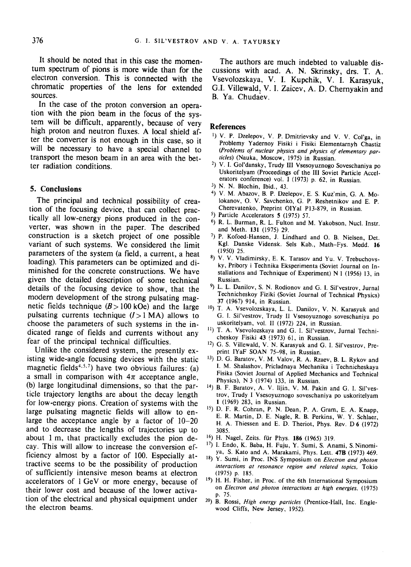It should be noted that in this case the momentum spectrum of pions is more wide than for the electron conversion. This is connected with the chromatic properties of the lens for extended sources.

In the case of the proton conversion an operation with the pion beam in the focus of the system will be difficult, apparently, because of very high proton and neutron fluxes. A local shield after the converter is not enough in this case, so it will be necessary to have a special channel to transport the meson beam in an area with the better radiation conditions.

### **5. Conclusions**

The principal and technical possibility of creation of the focusing device, that can collect practically all low-energy pions produced in the converter, was shown in the paper. The described construction is a sketch project of one possible variant of such systems. We considered the limit parameters of the system (a field, a current, a heat loading). This parameters can be optimized and diminished for the concrete constructions. We have given the detailed description of some technical details of the focusing device to show, that the modern development of the strong pulsating magnetic fields technique  $(B>100 \text{ kOe})$  and the large pulsating currents technique  $(I>1 MA)$  allows to choose the parameters of such systems in the indicated range of fields and currents without any fear of the principal technical difficulties.

Unlike the considered system, the presently existing wide-angle focusing devices with the static magnetic fields<sup> $4,5,7$ </sup>) have two obvious failures: (a) a small in comparison with  $4\pi$  acceptance angle, (b) large longitudinal dimensions, so that the particle trajectory lengths are about the decay length for low-energy pions. Creation of systems with the large pulsating magnetic fields will allow to enlarge the acceptance angle by a factor of 10-20 and to decrease the lengths of trajectories up to about 1 m, that practically excludes the pion decay. This will allow to increase the conversion efficiency almost by a factor of 100. Especially attractive seems to be the possibility of production of sufficiently intensive meson beams at electron accelerators of 1 GeV or more energy, because of their lower cost and because of the lower activation of the electrical and physical equipment under the electron beams.

The authors are much indebted to valuable discussions with acad. A. N. Skrinsky, drs. T. A. Vsevolozskaya, V. I. Kupchik, V. I. Karasyuk, G.I. Villewald, V. I. Zaicev, A. D. Chernyakin and B. Ya. Chudaev.

#### **References**

- 1) V. P. Dzelepov, V. P. Dmitrievsky and V. V. Col'ga, in Problemy Yadernoy Fisiki i Fisiki Elementarnyh Chastiz *(Problems of nuclear physics and physics of elementary particles)* (Nauka, Moscow, 1975) in Russian.
- <sup>2</sup>) V. I. Gol'dansky, Trudy III Vsesoyuznogo Soveschaniya po Uskoritelyam (Proceedings of the III Soviet Particle Accelerators conference) vol. I (1973) p. 62, in Russian.
- 3) N. N. Blochin, Ibid., 43.
- 4) V. M. Abazov, B. P. Dzelepov, E. S. Kuz'min, G. A. Molokanov, O. V. Savchenko, G. P. Reshetnikov and E. P. Cherevatenko, Preprint OIYaI P13-879, in Russian.
- 5) Particle Accelerators 5 (1975) 57.
- 6) R. L. Burman, R. L. Fulton and M. Yakobson, Nucl. Instr. and Meth. 131 (1975) 29.
- 7) p. Kofoed-Hansen, J. Lindhard and O. B. Nielsen, Det. Kgl. Danske Vidensk. Sels Kab., Math-Fys. Medd. 16 (1950) 25.
- 8) V. V. Vladimirsky, E. K. Tarasov and Yu. V. Trebuchovsky, Pribory i Technika Eksperimenta (Soviet Journal on Installations and Technique of Experiment) N 1 (1956) 13, in Russian.
- 9) L. L. Danilov, S. N. Rodionov and G. I. Sil'vestrov, Jurnal Technicheskoy Fiziki (Soviet Journal of Technical Physics) 37 (1967) 914, in Russian.
- 10) T. A. Vsevolozskaya, L. L. Danilov, V. N. Karasyuk and G. I. Sil'vestrov, Trudy II Vsesoyuznogo soveschaniya po uskoritelyam, vol. II (1972) 224, in Russian.
- <sup>11</sup>) T. A. Vsevolozskaya and G. I. Sil'vestrov, Jurnal Technicheskoy Fisiki 43 (1973) 61, in Russian.
- 12) G. S. Villewald, V. N. Karasyuk and G. I. Sil'vestrov, Preprint IYaF SOAN 75-98, in Russian.
- 13) D. G. Baratov, V. M. Valov, R. A. Rzaev, B. L. Rykov and 1. M. Shalashov, Pricladnaya Mechanika i Technicheskaya Fisika (Soviet Journal of Applied Mechanics and Technical Physics), N 3 (1974) 133, in Russian.
- 14) B. F. Baratov, A. V. lljin, V. M. Pakin and G. I. Sil'vestrov, Trudy I Vsesoyuznogo soveschaniya po uskoritelyam 1 (1969) 283, in Russian.
- 15) D. F. R. Cohran, P. N. Dean, P. A. Gram, E. A. Knapp, E. R. Martin, D. E. Nagle, R. B. Perkins, W. Y. Schlaer, H. A. Thiessen and E. D. Theriot, Phys. Rev. D 6 (1972) 3085.
- <sup>16</sup>) H. Nagel, Zeits. für Phys. 186 (1965) 319.
- 17) I. Endo, K. Baba, H. Fuju, Y. Sumi, S. Anami, S.Ninomiya, S. Kato and A. Marakami, Phys. Lett. 47B (1973) 469.
- 18) y. Sumi, in Proc. INS Symposium on *Electron and photon interactions at resonance region and related topics,* Tokio (1975) p. 185.
- 19) H. H. Fisher, in Proc. of the 6th International Symposium on *Electron and photon interactions at high energies,* (1975) p. 75.
- 20) B. Rossi, *High energy particles* (Prentice-Hall, Inc. Englewood Cliffs, New Jersey, 1952).